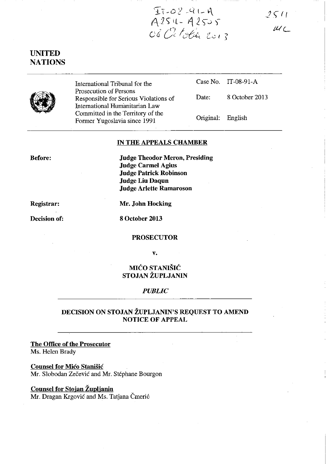$2511$  $\mu$ <sub>C</sub>

**UNITED NATIONS** 

•

International Tribunal for the Prosecution of Persons Responsible for Serious Violations of International Humanitarian Law Committed in the Territory of the Former Yugoslavia since 1991

Case No. IT-08-91-A

Date: 8 October 2013

Original: English

#### **IN THE APPEALS CHAMBER**

 $T_7 - 02 - 41 - 4$ <br>A254 - A2505<br>Od October 2013

**Before:** 

**Judge Theodor Meron, Presiding Judge Carmel Agius Judge Patrick Robinson Judge Liu Daqun Judge Arlette Ramaroson** 

**Registrar:** 

**Mr. John Hocking** 

**Decision of:** 

**8 October 2013** 

**PROSECUTOR** 

**v.** 

# MIĆO STANIŠIĆ **STOJAN ŽUPLJANIN**

### *PUBLIC*

## **DECISION ON STOJAN ŽUPLJANIN'S REQUEST TO AMEND NOTICE OF APPEAL**

**The Office of the Prosecutor**  Ms. Helen Brady

**Counsel for** Mićo Stanišić Mr. Slobodan Zečević and Mr. Stéphane Bourgon

### **Counsel for Stojan Župljanin**

Mr. Dragan Krgović and Ms. Tatjana Čmerić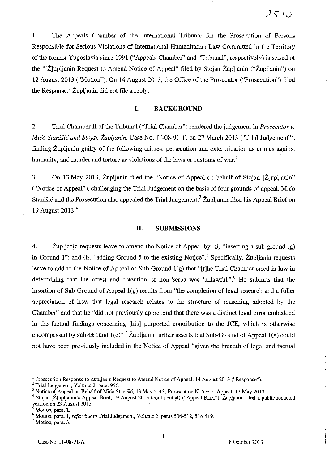1. The Appeals Chamber of the International Tribunal for the Prosecution of Persons Responsible for Serious Violations of International Humanitarian Law Committed in the Territory of the former Yugoslavia since 1991 ("Appeals Chamber" and "Tribunal", respectively) is seised of the "[Ž]upljanin Request to Amend Notice of Appeal" filed by Stojan Župljanin ("Župljanin") on 12 August 2013 ("Motion"). On 14 August 2013, the Office of the Prosecutor ("Prosecution") filed the Response.<sup>1</sup> Župljanin did not file a reply.

#### **I. BACKGROUND**

2. Trial Chamber Il of the Tribunal ("Trial Chamber") rendered the judgement in *Prosecutor v.*  Mićo Stanišić *and Stojan Župljanin,* Case No. IT-08-91-T, on 27 March 2013 ("Trial Judgement"), finding Župljanin guilty of the following crimes: persecution and extermination as crimes against humanity, and murder and torture as violations of the laws or customs of war.<sup>2</sup>

3. On 13 May 2013, Župljanin filed the "Notice of Appeal on behalf of Stojan [Ž]upljanin" ("Notice of Appeal"), challenging the Trial Judgement on the basis of four grounds of appeal. Mićo Stanišić and the Prosecution also appealed the Trial Judgement.<sup>3</sup> Župljanin filed his Appeal Brief on 19 August 2013 <sup>4</sup>

#### **II. SUBMISSIONS**

4. Župljanin requests leave to amend the Notice of Appeal by: (i) "inserting a sub-ground (g) in Ground 1"; and (ii) "adding Ground 5 to the existing Notice".<sup>5</sup> Specifically, Župljanin requests leave to add to the Notice of Appeal as Sub-Ground  $l(g)$  that "[t]he Trial Chamber erred in law in determining that the arrest and detention of non-Serbs was 'unlawful"<sup>, $6$ </sup> He submits that the insertion of Sub-Ground of Appeal  $1(g)$  results from "the completion of legal research and a fuller appreciation of how that legal research relates to the structure of reasoning adopted by the Chamber" and that he "did not previously apprehend that there was a distinct legal error embedded in the factual findings concerning [his] purported contribution to the JCE, which is otherwise encompassed by sub-Ground 1(c)".<sup>7</sup> Župljanin further asserts that Sub-Ground of Appeal 1(g) could not have been previously included in the Notice of Appeal "given the breadth of legal and factual

2 Trial Judgement, Volume 2, para. 956.

<sup>&</sup>lt;sup>1</sup> Prosecution Response to Župljanin Request to Amend Notice of Appeal, 14 August 2013 ("Response").

<sup>3</sup> Notice of Appeal on Behalf of Mićo Stanišić, 13 May 2013; Prosecution Notice of Appeal, 13 May 2013.

<sup>&</sup>lt;sup>4</sup> Stojan [Ž]upljanin's Appeal Brief, 19 August 2013 (confidential) ("Appeal Brief"). Župljanin filed a public redacted version on 23 August 2013.

Motion, para. 1.

Motion, para. 1, *referring to* Trial Judgement, Volume 2, paras 506-512, 518-519.

Motion, para. 3.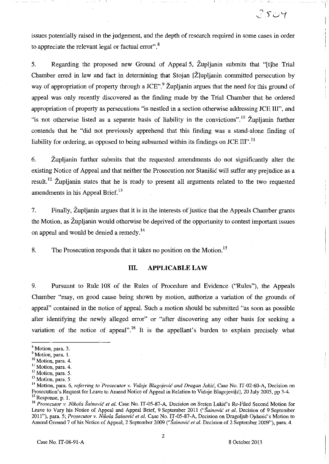issues potentially raised in the judgement, and the depth of research required in some cases in order to appreciate the relevant legal or factual error",<sup>8</sup>

S. Regarding the proposed new Ground of AppealS, Župljanin submits that "[t]he Trial Chamber erred in law and fact in determining that Stojan [Ž]upljanin committed persecution by way of appropriation of property through a JCE".<sup>9</sup> Župljanin argues that the need for this ground of appeal was only recently discovered as the finding made by the Trial Chamber that he ordered appropriation of property as persecutions "is nestled in a section otherwise addressing JCE ID", and "is not otherwise listed as a separate basis of liability in the convictions".<sup>10</sup> Župljanin further contends that he "did not previously apprehend that this finding was a stand-alone finding of liability for ordering, as opposed to being subsumed within its findings on JCE  $III$ <sup> $\cdot$ , 11</sup>

6. Župljanin further submits that the requested amendments do not significantly alter the existing Notice of Appeal and that neither the Prosecution nor Stanišić will suffer any prejudice as a result.<sup>12</sup> Župljanin states that he is ready to present all arguments related to the two requested amendments in his Appeal Brief.<sup>13</sup>

7. Finally, Župljanin argues that it is in the interests of justice that the Appeals Chamber grants the Motion, as Župljanin would otherwise be deprived of the opportunity to contest important issues on appeal and would be denied a remedy.<sup>14</sup>

8. The Prosecution responds that it takes no position on the Motion.<sup>15</sup>

#### **III. APPLICABLE LAW**

9. Pursuant to Rule 108 of the Rules of Procedure and Evidence ("Rules"), the Appeals Chamber "may, on good cause being shown by motion, authorize a variation of the grounds of appeal" contained in the notice of appeal. Such a motion should be submitted "as soon as possible after identifying the newly alleged error" or "after discovering any other basis for seeking a variation of the notice of appeal".<sup>16</sup> It is the appellant's burden to explain precisely what

 $2504$ 

<sup>8</sup> Motion, para. 3.

<sup>&</sup>lt;sup>9</sup> Motion, para. 1.

<sup>&</sup>lt;sup>10</sup> Motion, para. 4.

<sup>&</sup>lt;sup>11</sup> Motion, para. 4.<br><sup>12</sup> Motion, para. 5.<br><sup>13</sup> Motion, para. 5.

<sup>14</sup> Motion, para. 6, *referring to 'Prosecutor* v. *Vidoje* Blagojević *and Dragan* Jokić, Case No. IT -02-60-A, Decision on Prosecution's Request for Leave to Amend Notice of Appeal in Relation to Vidoje Blagojevi[c], 20 July 2005, pp 3-4.  $^{15}$  Response, p. 1.

<sup>&</sup>lt;sup>16</sup> Prosecutor v. Nikola Šainović et al. Case No. IT-05-87-A, Decision on Sreten Lukić's Re-Filed Second Motion for Leave to Vary his Notice of Appeal and Appeal Brief, 9 September 2011 ("Šainović *et al.* Decision of 9 September 2011"), para. 5; *Prosecutor* v. *Nikola* Šainović *et al.* Case No. IT-05-87-A, Decision on Dragoljub Ojdanić's Motion to Amend Ground 7 of his Notice of Appeal, 2 September 2009 ("Šainović *et al.* Decision of 2 September 2009"), para. 4.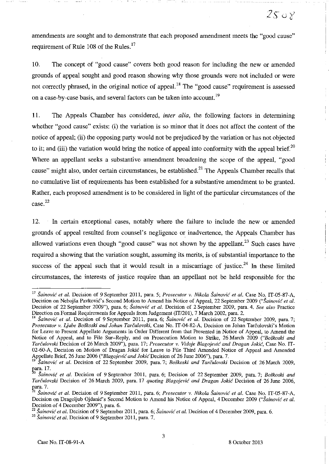amendments are sought and to demonstrate that each proposed amendment meets the "good cause" requirement of Rule 108 of the Rules.<sup>17</sup>

10. The concept of "good cause" covers both good reason for including the new or amended grounds of appeal sought and good reason showing why those grounds were not included or were not correctly phrased, in the original notice of appeal.<sup>18</sup> The "good cause" requirement is assessed on a case-by-case basis, and several factors can be taken into account.<sup>19</sup>

**ll.** The Appeals Chamber has considered, *inter alia,* the following factors in determining whether "good cause" exists: (i) the variation is so minor that it does not affect the content of the notice of appeal; (ii) the opposing party would not be prejudiced by the variation br has not objected to it; and (iii) the variation would bring the notice of appeal into conformity with the appeal brief.<sup>20</sup> Where an appellant seeks a substantive amendment broadening the scope of the appeal, "good cause" might also, under certain circumstances, be established.<sup>21</sup> The Appeals Chamber recalls that no cumulative list of requirements has been established for a substantive amendment to be granted. Rather, each proposed amendment is to be considered in light of the particular circumstances of the case. 22

12. In certain exceptional cases, notably where the failure to include the new or amended grounds of appeal resulted from counsel's negligence or inadvertence, the Appeals Chamber has allowed variations even though "good cause" was not shown by the appellant. $^{23}$  Such cases have required a showing that the variation sought, assurning its merits, is of substantial importance to the success of the appeal such that it would result in a miscarriage of justice.<sup>24</sup> In these limited circumstances, the interests of justice require than an appellant not be held responsible for the

<sup>17</sup>Šainović *et al.* Decision of 9 September 2011, para. 5; *Prosecutor v. Nikola* Šainović *et al.* Case No. IT-05-87-A, Decision on Nebojša Pavković's Second Motion to Amend his Notice of Appeal, 22 September 2009 ("Šainović et al. Decision of 22 September 2009"), para. 6; Šainović *et al.* Decision of 2 September 2009, para. 4. *See also* Practice Direction on Formal Requirements for Appeals from Judgement (IT/201), 7 March 2002, para. 2.

<sup>&</sup>lt;sup>18</sup> Šainović et al. Decision of 9 September 2011, para. 6; Šainović et al. Decision of 22 September 2009, para. 7; *Prosecutor v. Ljube Boškoski and Johan* Tarčulovski, Case No. IT-04-82-A, Decision on Johan Tarčulovski's Motion for Leave to Present Appellate Arguments in Order Different from that Presented in Notice of Appeal, to Amend the Notice of Appeal, and to File Sur-Reply, and on Prosecution Motion to Strike, 26 March 2009 *("Boškoski and*  Tarčulovski Decision of 26 March 2009"), para. 17; *Prosecutor v. Vidoje* Blagojević *and Dragan* Jokić, Case No. IT-02-60-A, Decision on Motion of Dragan Jokić for Leave to File Third Amended Notice of Appeal and Amended Appellate Brief, 26 June 2006 ("Blagojević and *Jokić Decision of 26 June 2006"*), para. 7.

<sup>&</sup>lt;sup>19</sup> Šainović *et al.* Decision of 22 September 2009, para. 7; *Boškoski and Tarčulovski* Decision of 26 March 2009, para. 17.<br><sup>20</sup> Šainović et al. Decision of 0.011 and 0.011

Sainović et al. Decision of 9 September 2011, para. 6; Decision of 22 September 2009, para. 7; *Boškoski and* Tarčulovski Decision of 26 March 2009, para. 17 *quoting* Blagojević *and Dragan* Jokić Decision of 26 June 2006, para. 7.<br> $\sum_{i=1}^{n}$ 

<sup>l</sup>Šainović *et al.* Decision of 9 September 2011, para. 6; *Prosecutor v. Nikola* Šainović *et al.* Case No. IT-05-87-A, Decision on Dragoljub Ojdanić's Second Motion to Amend his Notice of Appeal, 4 December 2009 ("Šainović *et al.*  Decision of 4 December 2009"), para. 6.

<sup>22</sup>Šainović *et al.* Decision of 9 September 2011, para. 6; Šainović *et al.* Decision of 4 December 2009, para. 6.

<sup>&</sup>lt;sup>23</sup> Šainović et al. Decision of 9 September 2011, para. 7.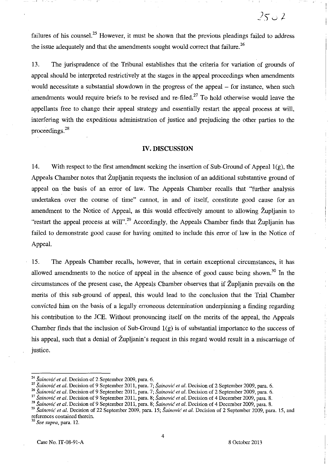failures of his counsel.<sup>25</sup> However, it must be shown that the previous pleadings failed to address the issue adequately and that the amendments sought would correct that failure.<sup>26</sup>

13. The jurisprudence of the Tribunal establishes that the criteria for variation of grounds of appeal should be interpreted restrictively at the stages in the appeal proceedings when amendments would necessitate a substantial slowdown in the progress of the appeal – for instance, when such amendments would require briefs to be revised and re-filed.<sup>27</sup> To hold otherwise would leave the appellants free to change their appeal strategy and essentially restart the appeal process at will, interfering with the expeditious administration of justice and prejudicing the other parties to the proceedings.<sup>28</sup>

## **IV. DISCUSSION**

14. With respect to the first amendment seeking the insertion of Sub-Ground of Appeal  $1(g)$ , the Appeals Chamber notes that Župljanin requests the inclusion of an additional substantive ground of appeal on the basis of an error of law. The Appeals Chamber recalls that "further analysis undertaken over the course of time" cannot, in and of itself, constitute good cause for an amendment to the Notice of Appeal, as this would effectively amount to allowing Župljanin to "restart the appeal process at will".<sup>29</sup> Accordingly, the Appeals Chamber finds that Župljanin has failed to demonstrate good cause for having omitted to include this error of law in the Notice of AppeaL

15. The Appeals Chamber recalis, however, that in certain exceptional circumstances, it has allowed amendments to the notice of appeal in the absence of good cause being shown.<sup>30</sup> In the circumstances of the present case, the Appeals Chamber observes that if Župljanin prevails on the merits of this sub-ground of appeal, this would lead to the conclusion that the Trial Chamber convicted him on the basis of a legally erroneous determination underpinning a finding regarding his contribution to the *lCE.* Without pronouncing itself on the merits of the appeal, the Appeals Chamber finds that the inclusion of Sub-Ground  $1(g)$  is of substantial importance to the success of his appeal, such that a denial of Župljanin's request in this regard would result in a miscarriage of justice.

*<sup>30</sup>See supra,* **para. 12.** 

4

 $2502$ 

<sup>&</sup>lt;sup>24</sup> Šainović et al. Decision of 2 September 2009, para. 6.

*<sup>25</sup>*Šainović *et al.* Decision of 9 September 2011, para. 7; Šainović *et al.* Decision of 2 September 2009, para. 6.

<sup>26</sup>Šainović *et al.* Decision of 9 September 2011, para. 7; Šainović *et al.* Decision of 2 September 2009, para. 6.

<sup>27</sup>Šainović *et al.* Decision of 9 September 2011, para. 8; Šainović *et al.* Decision of 4 December 2009, para. 8.

<sup>&</sup>lt;sup>28</sup> Šainović et al. Decision of 9 September 2011, para. 8; Šainović et al. Decision of 4 December 2009, para. 8.

<sup>&</sup>lt;sup>29</sup> Šainović et al. Decision of 22 September 2009, para. 15; Šainović et al. Decision of 2 September 2009, para. 15, and **references contained therein.**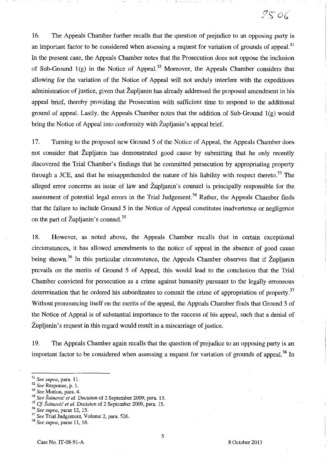16. The Appeals Chamber further recalls that the question of prejudice to an opposing party is an important factor to be considered when assessing a request for variation of grounds of appeal.<sup>31</sup> In the present case, the Appeals Chamber notes that the Prosecution does not oppose the inclusion of Sub-Ground  $1(g)$  in the Notice of Appeal.<sup>32</sup> Moreover, the Appeals Chamber considers that allowing for the variation of the Notice of Appeal will not unduly interfere with the expeditious administration of justice, given that Župljanin has already addressed the proposed amendment in his appeal brief, thereby providing the Prosecution with sufficient time to respond to the additional ground of appeal. Lastly, the Appeals Chamber notes that the addition of Sub-Ground  $1(g)$  would bring the Notice of Appeal into conformity with Župljanin's appeal brief.

17. Turning to the proposed new Ground 5 of the Notice of Appeal, the Appeals Chamber does not consider that Župljanin has demonstrated good cause by submitting that he only recently discovered the Trial Chamber's findings that he committed persecution by appropriating property through a JCE, and that he misapprehended the nature of his liability with respect thereto.<sup>33</sup> The alleged error concerns an issue of law and Župljanin's counsel is principally responsible for the assessment of potential legal errors in the Trial Judgement.<sup>34</sup> Rather, the Appeals Chamber finds that the failure to include Ground 5 in the Notice of Appeal constitutes inadvertence or negligence on the part of Župljanin's counsel.<sup>35</sup>

18. However, as noted above, the Appeals Chamber recalls that in certain exceptional circumstances, it has allowed amendments to the notice of appeal in the absence of good cause being shown.<sup>36</sup> In this particular circumstance, the Appeals Chamber observes that if Župljanin prevails on the merits of Ground 5 of Appeal, this would lead to the conclusion that the Trial Chamber convicted for persecution as a crime against humanity pursuant to the legally erroneous determination that he ordered his subordinates to commit the crime of appropriation of property.<sup>37</sup> Without pronouncing itself on the merits of the appeal, the Appeals Chamber finds that Ground 5 of the Notice of Appeal is of substantial importance to the success of his appeal, such that a denial of Župljanin' s request in this regard would result in a miscarriage of justice.

19. The Appeals Chamber again recalls that the question of prejudice to an opposing party is an important factor to be considered when assessing a request for variation of grounds of appeal.<sup>38</sup> In

*33 See* **Motion, para. 4.** 

<sup>36</sup>*See supra,* paras 12, 15.

**<sup>31</sup>***See supra,* **para. ll.** 

*<sup>32</sup> See* **Response, p. 1.** 

<sup>34</sup>*See* Šainović *et al.* Decision of 2 September 2009, para. 15.

*<sup>35</sup> Cf* Šainović *et al.* Decision of 2 September 2009, para. 15.

<sup>37</sup>*See* Trial Judgement, Volume 2, para. 526.

<sup>38</sup>*See supra,* paras 11, 16.